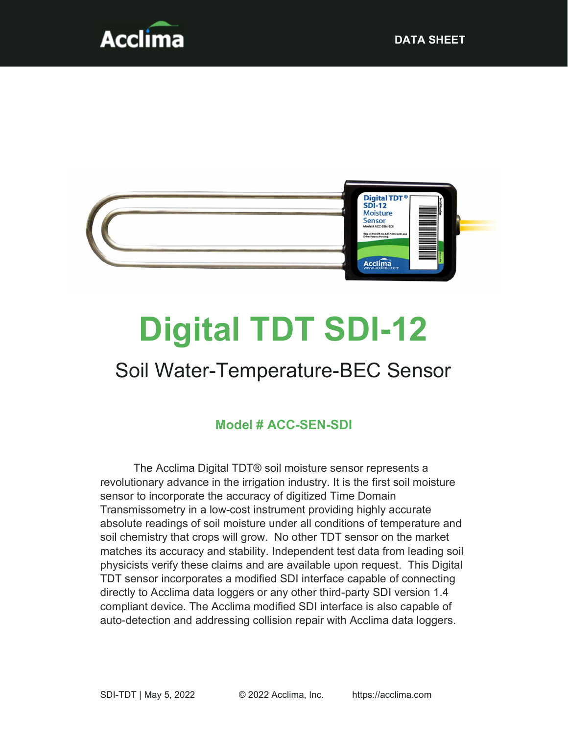



# Digital TDT SDI-12

## Soil Water-Temperature-BEC Sensor

#### Model # ACC-SEN-SDI

The Acclima Digital TDT® soil moisture sensor represents a revolutionary advance in the irrigation industry. It is the first soil moisture sensor to incorporate the accuracy of digitized Time Domain Transmissometry in a low-cost instrument providing highly accurate absolute readings of soil moisture under all conditions of temperature and soil chemistry that crops will grow. No other TDT sensor on the market matches its accuracy and stability. Independent test data from leading soil physicists verify these claims and are available upon request. This Digital TDT sensor incorporates a modified SDI interface capable of connecting directly to Acclima data loggers or any other third-party SDI version 1.4 compliant device. The Acclima modified SDI interface is also capable of auto-detection and addressing collision repair with Acclima data loggers.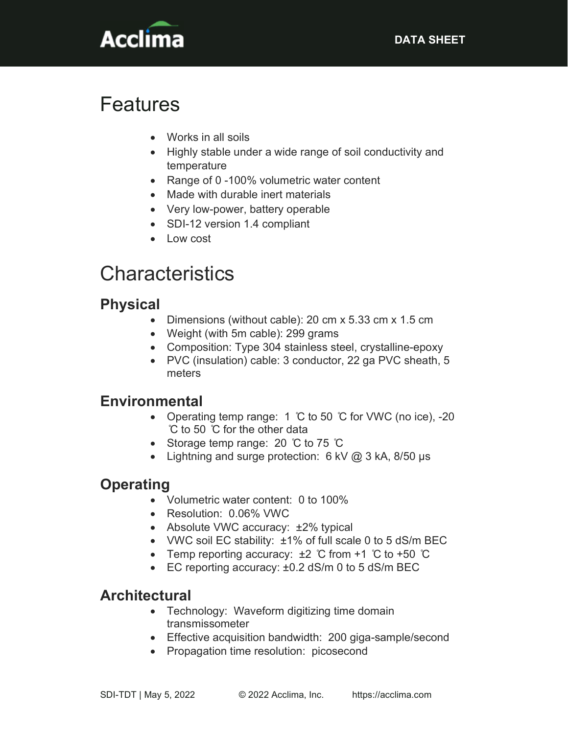

## Features

- Works in all soils
- Highly stable under a wide range of soil conductivity and temperature
- Range of 0 -100% volumetric water content
- Made with durable inert materials
- Very low-power, battery operable
- SDI-12 version 1.4 compliant
- Low cost

## **Characteristics**

#### Physical

- Dimensions (without cable): 20 cm x 5.33 cm x 1.5 cm
- Weight (with 5m cable): 299 grams
- Composition: Type 304 stainless steel, crystalline-epoxy
- PVC (insulation) cable: 3 conductor, 22 ga PVC sheath, 5 meters

#### Environmental

- Operating temp range: 1 °C to 50 °C for VWC (no ice), -20 ̊C to 50 ̊C for the other data
- Storage temp range: 20 °C to 75 °C
- Lightning and surge protection:  $6$  kV  $\omega$  3 kA, 8/50 us

### **Operating**

- Volumetric water content: 0 to 100%
- Resolution: 0.06% VWC
- Absolute VWC accuracy: ±2% typical
- VWC soil EC stability: ±1% of full scale 0 to 5 dS/m BEC
- Temp reporting accuracy:  $\pm 2$  °C from +1 °C to +50 °C
- EC reporting accuracy: ±0.2 dS/m 0 to 5 dS/m BEC

#### **Architectural**

- Technology: Waveform digitizing time domain transmissometer
- Effective acquisition bandwidth: 200 giga-sample/second
- Propagation time resolution: picosecond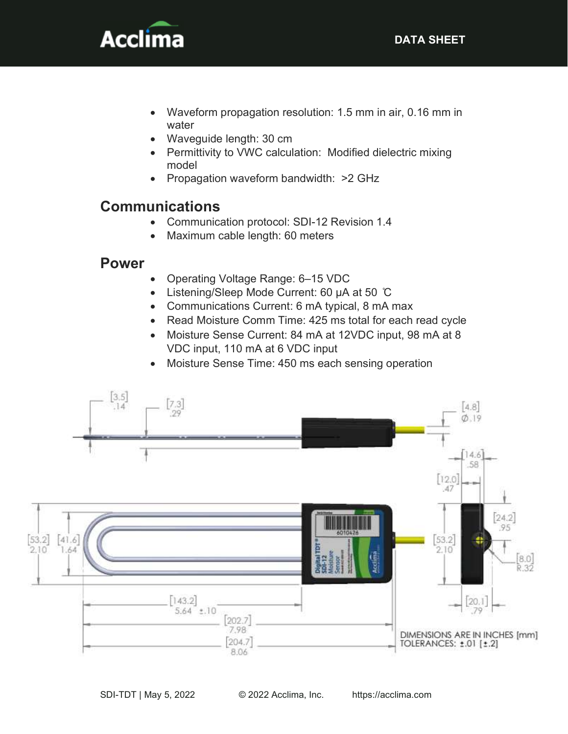

- Waveform propagation resolution: 1.5 mm in air, 0.16 mm in water
- Waveguide length: 30 cm
- Permittivity to VWC calculation: Modified dielectric mixing model
- Propagation waveform bandwidth: >2 GHz

#### Communications

- Communication protocol: SDI-12 Revision 1.4
- Maximum cable length: 60 meters

#### Power

- Operating Voltage Range: 6–15 VDC
- Listening/Sleep Mode Current: 60 µA at 50 ℃
- Communications Current: 6 mA typical, 8 mA max
- Read Moisture Comm Time: 425 ms total for each read cycle
- Moisture Sense Current: 84 mA at 12VDC input, 98 mA at 8 VDC input, 110 mA at 6 VDC input
- Moisture Sense Time: 450 ms each sensing operation